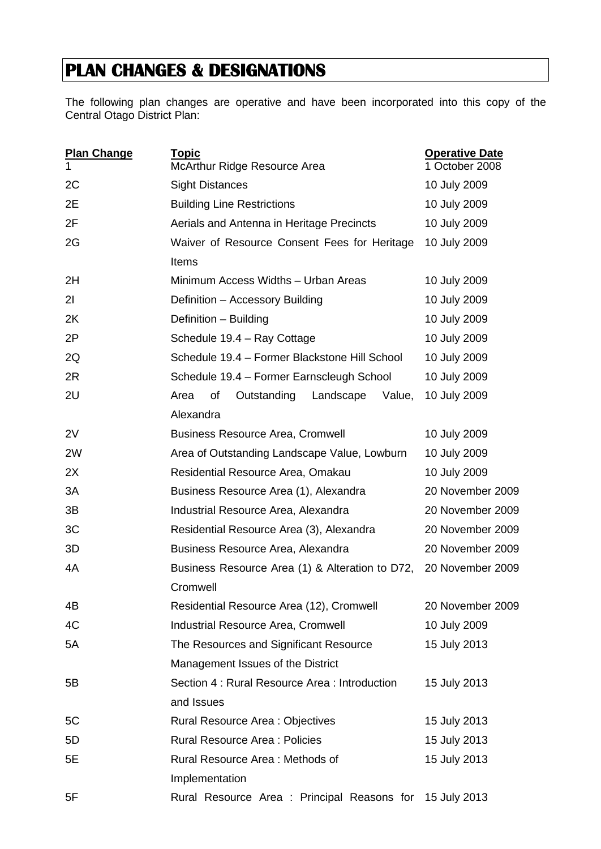## **PLAN CHANGES & DESIGNATIONS**

The following plan changes are operative and have been incorporated into this copy of the Central Otago District Plan:

| <b>Plan Change</b><br>1 | <b>Topic</b><br>McArthur Ridge Resource Area            | <b>Operative Date</b><br>1 October 2008 |  |
|-------------------------|---------------------------------------------------------|-----------------------------------------|--|
| 2C                      | <b>Sight Distances</b>                                  | 10 July 2009                            |  |
| 2E                      | <b>Building Line Restrictions</b>                       | 10 July 2009                            |  |
| 2F                      | Aerials and Antenna in Heritage Precincts               | 10 July 2009                            |  |
| 2G                      | Waiver of Resource Consent Fees for Heritage            | 10 July 2009                            |  |
|                         | Items                                                   |                                         |  |
| 2H                      | Minimum Access Widths - Urban Areas                     | 10 July 2009                            |  |
| 21                      | Definition - Accessory Building                         | 10 July 2009                            |  |
| 2K                      | Definition - Building                                   | 10 July 2009                            |  |
| 2P                      | Schedule 19.4 - Ray Cottage                             | 10 July 2009                            |  |
| 2Q                      | Schedule 19.4 - Former Blackstone Hill School           | 10 July 2009                            |  |
| 2R                      | Schedule 19.4 - Former Earnscleugh School               | 10 July 2009                            |  |
| 2U                      | of<br>Outstanding<br>Landscape<br>Area<br>Value,        | 10 July 2009                            |  |
|                         | Alexandra                                               |                                         |  |
| 2V                      | <b>Business Resource Area, Cromwell</b>                 | 10 July 2009                            |  |
| 2W                      | Area of Outstanding Landscape Value, Lowburn            | 10 July 2009                            |  |
| 2X                      | Residential Resource Area, Omakau                       | 10 July 2009                            |  |
| 3A                      | Business Resource Area (1), Alexandra                   | 20 November 2009                        |  |
| 3B                      | Industrial Resource Area, Alexandra                     | 20 November 2009                        |  |
| 3C                      | Residential Resource Area (3), Alexandra                | 20 November 2009                        |  |
| 3D                      | Business Resource Area, Alexandra                       | 20 November 2009                        |  |
| 4A                      | Business Resource Area (1) & Alteration to D72,         | 20 November 2009                        |  |
|                         | Cromwell                                                |                                         |  |
| 4B                      | Residential Resource Area (12), Cromwell                | 20 November 2009                        |  |
| 4C                      | <b>Industrial Resource Area, Cromwell</b>               | 10 July 2009                            |  |
| 5A                      | The Resources and Significant Resource                  | 15 July 2013                            |  |
|                         | Management Issues of the District                       |                                         |  |
| 5B                      | Section 4 : Rural Resource Area : Introduction          | 15 July 2013                            |  |
|                         | and Issues                                              |                                         |  |
| 5C                      | <b>Rural Resource Area: Objectives</b>                  | 15 July 2013                            |  |
| 5D                      | <b>Rural Resource Area: Policies</b>                    | 15 July 2013                            |  |
| 5E                      | Rural Resource Area: Methods of<br>15 July 2013         |                                         |  |
|                         | Implementation                                          |                                         |  |
| 5F                      | Rural Resource Area: Principal Reasons for 15 July 2013 |                                         |  |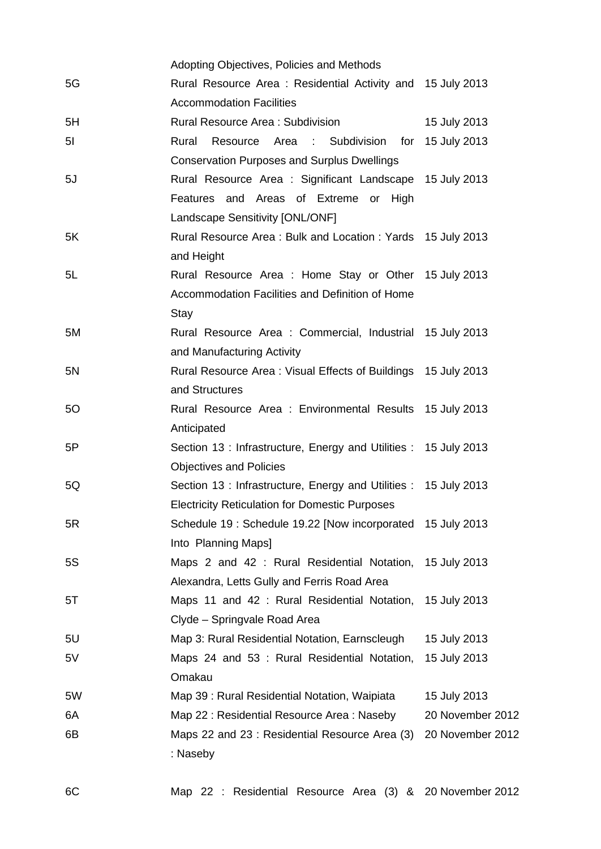|                | Adopting Objectives, Policies and Methods                        |                  |
|----------------|------------------------------------------------------------------|------------------|
| 5G             | Rural Resource Area: Residential Activity and 15 July 2013       |                  |
|                | <b>Accommodation Facilities</b>                                  |                  |
| 5H             | Rural Resource Area: Subdivision                                 | 15 July 2013     |
| 5 <sub>l</sub> | Resource Area : Subdivision for 15 July 2013<br>Rural            |                  |
|                | <b>Conservation Purposes and Surplus Dwellings</b>               |                  |
| 5J             | Rural Resource Area : Significant Landscape 15 July 2013         |                  |
|                | Features and Areas of Extreme or High                            |                  |
|                | Landscape Sensitivity [ONL/ONF]                                  |                  |
| 5K             | Rural Resource Area: Bulk and Location: Yards 15 July 2013       |                  |
|                | and Height                                                       |                  |
| 5L             | Rural Resource Area: Home Stay or Other 15 July 2013             |                  |
|                | Accommodation Facilities and Definition of Home                  |                  |
|                | Stay                                                             |                  |
| 5M             | Rural Resource Area: Commercial, Industrial 15 July 2013         |                  |
|                | and Manufacturing Activity                                       |                  |
| 5N             | Rural Resource Area: Visual Effects of Buildings 15 July 2013    |                  |
|                | and Structures                                                   |                  |
| 50             | Rural Resource Area: Environmental Results 15 July 2013          |                  |
|                | Anticipated                                                      |                  |
| 5P             | Section 13: Infrastructure, Energy and Utilities: 15 July 2013   |                  |
|                | <b>Objectives and Policies</b>                                   |                  |
| 5Q             | Section 13 : Infrastructure, Energy and Utilities : 15 July 2013 |                  |
|                | <b>Electricity Reticulation for Domestic Purposes</b>            |                  |
| 5R             | Schedule 19: Schedule 19.22 [Now incorporated 15 July 2013       |                  |
|                | Into Planning Maps]                                              |                  |
| 5S             | Maps 2 and 42 : Rural Residential Notation,                      | 15 July 2013     |
|                | Alexandra, Letts Gully and Ferris Road Area                      |                  |
| 5T             | Maps 11 and 42 : Rural Residential Notation,                     | 15 July 2013     |
|                | Clyde - Springvale Road Area                                     |                  |
| 5U             | Map 3: Rural Residential Notation, Earnscleugh                   | 15 July 2013     |
| 5V             | Maps 24 and 53 : Rural Residential Notation,                     | 15 July 2013     |
|                | Omakau                                                           |                  |
| 5W             | Map 39 : Rural Residential Notation, Waipiata                    | 15 July 2013     |
| 6A             | Map 22 : Residential Resource Area : Naseby                      | 20 November 2012 |
| 6B             | Maps 22 and 23 : Residential Resource Area (3)                   | 20 November 2012 |
|                | : Naseby                                                         |                  |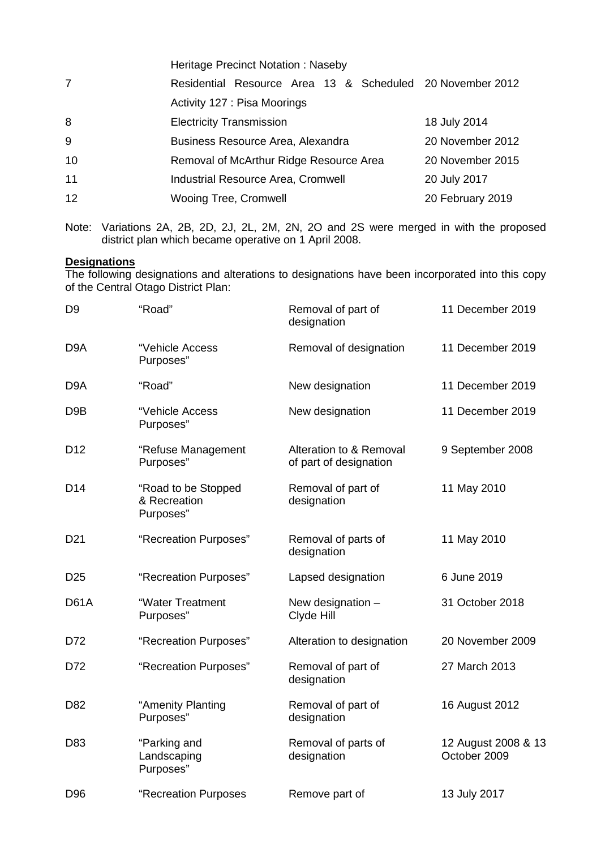|    | <b>Heritage Precinct Notation: Naseby</b>                 |                  |  |
|----|-----------------------------------------------------------|------------------|--|
| 7  | Residential Resource Area 13 & Scheduled 20 November 2012 |                  |  |
|    | Activity 127 : Pisa Moorings                              |                  |  |
| 8  | <b>Electricity Transmission</b>                           | 18 July 2014     |  |
| 9  | Business Resource Area, Alexandra                         | 20 November 2012 |  |
| 10 | Removal of McArthur Ridge Resource Area                   | 20 November 2015 |  |
| 11 | <b>Industrial Resource Area, Cromwell</b>                 | 20 July 2017     |  |
| 12 | <b>Wooing Tree, Cromwell</b>                              | 20 February 2019 |  |

Note: Variations 2A, 2B, 2D, 2J, 2L, 2M, 2N, 2O and 2S were merged in with the proposed district plan which became operative on 1 April 2008.

## **Designations**

The following designations and alterations to designations have been incorporated into this copy of the Central Otago District Plan:

| D <sub>9</sub>   | "Road"                                           | Removal of part of<br>designation                 | 11 December 2019                    |
|------------------|--------------------------------------------------|---------------------------------------------------|-------------------------------------|
| D <sub>9</sub> A | "Vehicle Access<br>Purposes"                     | Removal of designation                            | 11 December 2019                    |
| D <sub>9</sub> A | "Road"                                           | New designation                                   | 11 December 2019                    |
| D <sub>9</sub> B | "Vehicle Access<br>Purposes"                     | New designation                                   | 11 December 2019                    |
| D <sub>12</sub>  | "Refuse Management<br>Purposes"                  | Alteration to & Removal<br>of part of designation | 9 September 2008                    |
| D14              | "Road to be Stopped<br>& Recreation<br>Purposes" | Removal of part of<br>designation                 | 11 May 2010                         |
| D <sub>21</sub>  | "Recreation Purposes"                            | Removal of parts of<br>designation                | 11 May 2010                         |
| D <sub>25</sub>  | "Recreation Purposes"                            | Lapsed designation                                | 6 June 2019                         |
| <b>D61A</b>      | "Water Treatment<br>Purposes"                    | New designation -<br>Clyde Hill                   | 31 October 2018                     |
| D72              | "Recreation Purposes"                            | Alteration to designation                         | 20 November 2009                    |
| D72              | "Recreation Purposes"                            | Removal of part of<br>designation                 | 27 March 2013                       |
| D82              | "Amenity Planting<br>Purposes"                   | Removal of part of<br>designation                 | 16 August 2012                      |
| D83              | "Parking and<br>Landscaping<br>Purposes"         | Removal of parts of<br>designation                | 12 August 2008 & 13<br>October 2009 |
| D96              | "Recreation Purposes                             | Remove part of                                    | 13 July 2017                        |